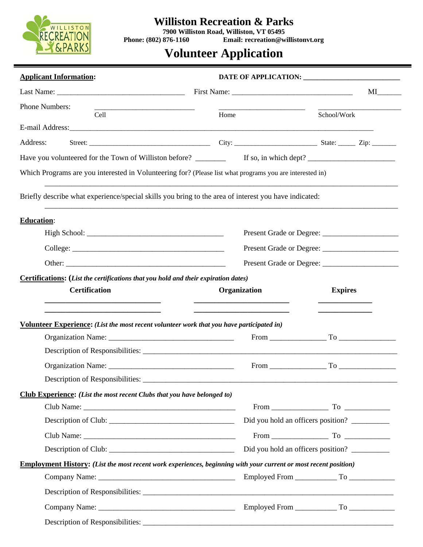

# **Williston Recreation & Parks**

**7900 Williston Road, Williston, VT 05495 Phone: (802) 876-1160 Email: recreation@willistonvt.org** 

# **Volunteer Application**

| <b>Applicant Information:</b>                                                                                           |                                                                             |                                    |  |  |
|-------------------------------------------------------------------------------------------------------------------------|-----------------------------------------------------------------------------|------------------------------------|--|--|
| Last Name: $\frac{1}{2}$ Last Name:                                                                                     |                                                                             |                                    |  |  |
| Phone Numbers:<br><u> 1989 - Johann Barbara, martin da kasar Amerikaansk politik (</u><br>Cell                          | Home                                                                        | School/Work                        |  |  |
|                                                                                                                         |                                                                             |                                    |  |  |
| Address:                                                                                                                |                                                                             |                                    |  |  |
|                                                                                                                         |                                                                             |                                    |  |  |
| Which Programs are you interested in Volunteering for? (Please list what programs you are interested in)                |                                                                             |                                    |  |  |
| Briefly describe what experience/special skills you bring to the area of interest you have indicated:                   |                                                                             |                                    |  |  |
| <b>Education:</b>                                                                                                       |                                                                             |                                    |  |  |
|                                                                                                                         |                                                                             |                                    |  |  |
|                                                                                                                         |                                                                             | Present Grade or Degree:           |  |  |
|                                                                                                                         |                                                                             |                                    |  |  |
| Certifications: (List the certifications that you hold and their expiration dates)<br><b>Certification</b>              | Organization<br><u> 1989 - Andrea Stadt Britain, amerikansk politiker (</u> | <b>Expires</b>                     |  |  |
| Volunteer Experience: (List the most recent volunteer work that you have participated in)                               |                                                                             |                                    |  |  |
|                                                                                                                         |                                                                             | $From$ $To$                        |  |  |
|                                                                                                                         |                                                                             |                                    |  |  |
|                                                                                                                         |                                                                             |                                    |  |  |
| Description of Responsibilities:                                                                                        |                                                                             |                                    |  |  |
| Club Experience: (List the most recent Clubs that you have belonged to)                                                 |                                                                             |                                    |  |  |
|                                                                                                                         |                                                                             | $From$ $To$ $To$                   |  |  |
|                                                                                                                         |                                                                             | Did you hold an officers position? |  |  |
|                                                                                                                         |                                                                             |                                    |  |  |
|                                                                                                                         |                                                                             | Did you hold an officers position? |  |  |
| <b>Employment History:</b> (List the most recent work experiences, beginning with your current or most recent position) |                                                                             |                                    |  |  |
|                                                                                                                         |                                                                             |                                    |  |  |
|                                                                                                                         |                                                                             |                                    |  |  |
|                                                                                                                         |                                                                             |                                    |  |  |
|                                                                                                                         |                                                                             |                                    |  |  |